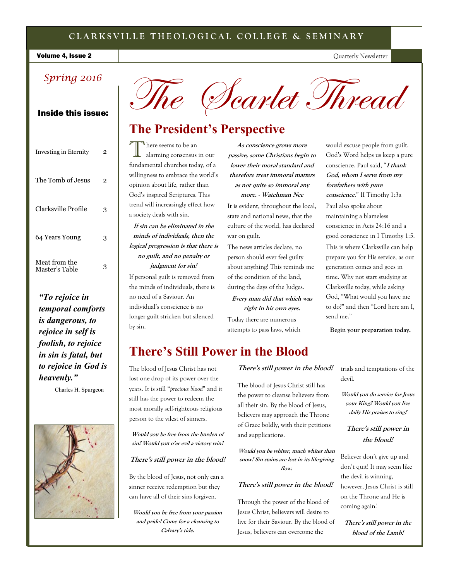# **C L A R K S V I L L E T H E O L O G I C A L C O L L E G E & S E M I N A R Y**

### Volume 4, Issue 2

# *Spring 2016*

| Investing in Eternity           | 2 |
|---------------------------------|---|
| The Tomb of Jesus               | 2 |
| Clarksville Profile             | 3 |
| 64 Years Young                  | 3 |
| Meat from the<br>Master's Table | 3 |

*"To rejoice in temporal comforts is dangerous, to rejoice in self is foolish, to rejoice in sin is fatal, but to rejoice in God is heavenly."* 

Charles H. Spurgeon





# **The President's Perspective**

T  $\P$  here seems to be an alarming consensus in our fundamental churches today, of a willingness to embrace the world's opinion about life, rather than God's inspired Scriptures. This trend will increasingly effect how a society deals with sin.

**If sin can be eliminated in the minds of individuals, then the logical progression is that there is no guilt, and no penalty or judgment for sin!**

If personal guilt is removed from the minds of individuals, there is no need of a Saviour. An individual's conscience is no longer guilt stricken but silenced by sin.

**As conscience grows more passive, some Christians begin to lower their moral standard and therefore treat immoral matters as not quite so immoral any more. - Watchman Nee**

It is evident, throughout the local, state and national news, that the culture of the world, has declared war on guilt.

The news articles declare, no person should ever feel guilty about anything! This reminds me of the condition of the land, during the days of the Judges.

**Every man did that which was right in his own eyes.**

Today there are numerous attempts to pass laws, which would excuse people from guilt. God's Word helps us keep a pure conscience. Paul said, "**I thank God, whom I serve from my forefathers with pure conscience**." II Timothy 1:3a

Quarterly Newsletter

Paul also spoke about maintaining a blameless conscience in Acts 24:16 and a good conscience in I Timothy 1:5. This is where Clarksville can help prepare you for His service, as our generation comes and goes in time. Why not start studying at Clarksville today, while asking God, "What would you have me to do?" and then "Lord here am I, send me."

**Begin your preparation today.** 

# **There's Still Power in the Blood**

The blood of Jesus Christ has not lost one drop of its power over the years. It is still "*precious blood*" and it still has the power to redeem the most morally self-righteous religious person to the vilest of sinners.

**Would you be free from the burden of sin? Would you o'er evil a victory win?**

# **There's still power in the blood!**

By the blood of Jesus, not only can a sinner receive redemption but they can have all of their sins forgiven.

**Would you be free from your passion and pride? Come for a cleansing to Calvary's tide.** 

# **There's still power in the blood!**

The blood of Jesus Christ still has the power to cleanse believers from all their sin. By the blood of Jesus, believers may approach the Throne of Grace boldly, with their petitions and supplications.

**Would you be whiter, much whiter than snow? Sin stains are lost in its life-giving flow.**

# **There's still power in the blood!**

Through the power of the blood of Jesus Christ, believers will desire to live for their Saviour. By the blood of Jesus, believers can overcome the

trials and temptations of the devil.

**Would you do service for Jesus your King? Would you live daily His praises to sing?**

# **There's still power in the blood!**

Believer don't give up and don't quit! It may seem like the devil is winning, however, Jesus Christ is still on the Throne and He is coming again!

**There's still power in the blood of the Lamb!**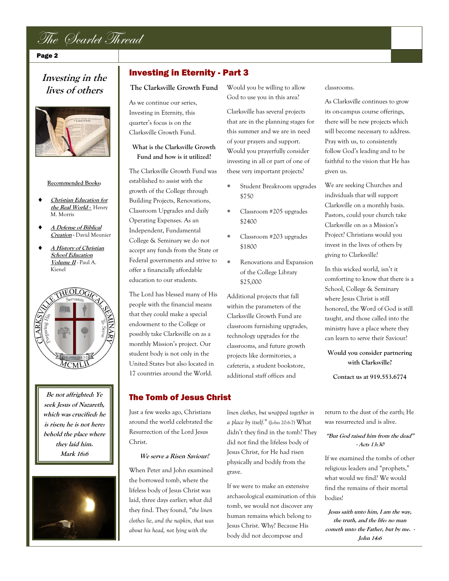

Page 2

# **Investing in the lives of others**



#### **Recommended Books:**

- **Christian Education for the Real World -** Henry M. Morris
- **A Defense of Biblical Creation -** David Meunier
- **A History of Christian School Education Volume II** - Paul A. Kienel



**Be not affrighted: Ye seek Jesus of Nazareth, which was crucified: he is risen; he is not here: behold the place where they laid him. Mark 16:6**



# Investing in Eternity - Part 3

**The Clarksville Growth Fund**

As we continue our series, Investing in Eternity, this quarter's focus is on the Clarksville Growth Fund.

# **What is the Clarksville Growth Fund and how is it utilized?**

The Clarksville Growth Fund was established to assist with the growth of the College through Building Projects, Renovations, Classroom Upgrades and daily Operating Expenses. As an Independent, Fundamental College & Seminary we do not accept any funds from the State or Federal governments and strive to offer a financially affordable education to our students.

The Lord has blessed many of His people with the financial means that they could make a special endowment to the College or possibly take Clarksville on as a monthly Mission's project. Our student body is not only in the United States but also located in 17 countries around the World.

Would you be willing to allow God to use you in this area?

Clarksville has several projects that are in the planning stages for this summer and we are in need of your prayers and support. Would you prayerfully consider investing in all or part of one of these very important projects?

- Student Breakroom upgrades \$750
- Classroom #205 upgrades \$2400
- Classroom #203 upgrades \$1800
- Renovations and Expansion of the College Library \$25,000

Additional projects that fall within the parameters of the Clarksville Growth Fund are classroom furnishing upgrades, technology upgrades for the classrooms, and future growth projects like dormitories, a cafeteria, a student bookstore, additional staff offices and

# The Tomb of Jesus Christ

Just a few weeks ago, Christians around the world celebrated the Resurrection of the Lord Jesus Christ.

### **We serve a Risen Saviour!**

When Peter and John examined the borrowed tomb, where the lifeless body of Jesus Christ was laid, three days earlier; what did they find. They found, "*the linen clothes lie, and the napkin, that was about his head, not lying with the* 

*linen clothes, but wrapped together in a place by itself.*" (John 20:6-7) What didn't they find in the tomb? They did not find the lifeless body of Jesus Christ, for He had risen physically and bodily from the grave.

If we were to make an extensive archaeological examination of this tomb, we would not discover any human remains which belong to Jesus Christ. Why? Because His body did not decompose and

classrooms.

As Clarksville continues to grow its on-campus course offerings, there will be new projects which will become necessary to address. Pray with us, to consistently follow God's leading and to be faithful to the vision that He has given us.

We are seeking Churches and individuals that will support Clarksville on a monthly basis. Pastors, could your church take Clarksville on as a Mission's Project? Christians would you invest in the lives of others by giving to Clarksville?

In this wicked world, isn't it comforting to know that there is a School, College & Seminary where Jesus Christ is still honored, the Word of God is still taught, and those called into the ministry have a place where they can learn to serve their Saviour?

**Would you consider partnering with Clarksville?** 

**Contact us at 919.553.6774**

return to the dust of the earth; He was resurrected and is alive.

## **"But God raised him from the dead" - Acts 13:30**

If we examined the tombs of other religious leaders and "prophets," what would we find? We would find the remains of their mortal bodies!

**Jesus saith unto him, I am the way, the truth, and the life: no man cometh unto the Father, but by me. - John 14:6**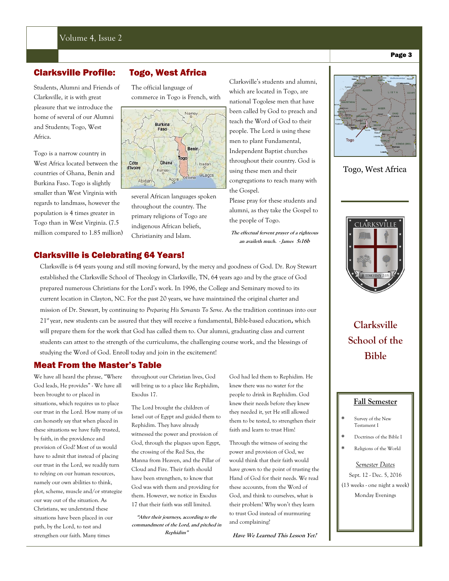Students, Alumni and Friends of Clarksville, it is with great pleasure that we introduce the home of several of our Alumni and Students; Togo, West Africa.

Togo is a narrow country in West Africa located between the countries of Ghana, Benin and Burkina Faso. Togo is slightly smaller than West Virginia with regards to landmass, however the population is 4 times greater in Togo than in West Virginia. (7.5 million compared to 1.85 million)

# Clarksville Profile: Togo, West Africa

The official language of commerce in Togo is French, with



several African languages spoken throughout the country. The primary religions of Togo are indigenous African beliefs, Christianity and Islam.

Clarksville's students and alumni, which are located in Togo, are national Togolese men that have been called by God to preach and teach the Word of God to their people. The Lord is using these men to plant Fundamental, Independent Baptist churches throughout their country. God is using these men and their congregations to reach many with the Gospel.

Please pray for these students and alumni, as they take the Gospel to the people of Togo.

**The effectual fervent prayer of a righteous an availeth much. - James 5:16b**

Clarksville is 64 years young and still moving forward, by the mercy and goodness of God. Dr. Roy Stewart established the Clarksville School of Theology in Clarksville, TN, 64 years ago and by the grace of God prepared numerous Christians for the Lord's work. In 1996, the College and Seminary moved to its current location in Clayton, NC. For the past 20 years, we have maintained the original charter and mission of Dr. Stewart, by continuing to *Preparing His Servants To Serve*. As the tradition continues into our 21st year, new students can be assured that they will receive a fundamental, Bible-based education**,** which will prepare them for the work that God has called them to. Our alumni, graduating class and current students can attest to the strength of the curriculums, the challenging course work, and the blessings of studying the Word of God. Enroll today and join in the excitement!

# Meat From the Master's Table

Clarksville is Celebrating 64 Years!

We have all heard the phrase, "Where God leads, He provides" - We have all been brought to or placed in situations, which requires us to place our trust in the Lord. How many of us can honestly say that when placed in these situations we have fully trusted, by faith, in the providence and provision of God? Most of us would have to admit that instead of placing our trust in the Lord, we readily turn to relying on our human resources, namely our own abilities to think, plot, scheme, muscle and/or strategize our way out of the situation. As Christians, we understand these situations have been placed in our path, by the Lord, to test and strengthen our faith. Many times

throughout our Christian lives, God will bring us to a place like Rephidim, Exodus 17.

The Lord brought the children of Israel out of Egypt and guided them to Rephidim. They have already witnessed the power and provision of God, through the plagues upon Egypt, the crossing of the Red Sea, the Manna from Heaven, and the Pillar of Cloud and Fire. Their faith should have been strengthen, to know that God was with them and providing for them. However, we notice in Exodus 17 that their faith was still limited.

**"After their journeys, according to the commandment of the Lord, and pitched in Rephidim"**

God had led them to Rephidim. He knew there was no water for the people to drink in Rephidim. God knew their needs before they knew they needed it, yet He still allowed them to be tested, to strengthen their faith and learn to trust Him!

Through the witness of seeing the power and provision of God, we would think that their faith would have grown to the point of trusting the Hand of God for their needs. We read these accounts, from the Word of God, and think to ourselves, what is their problem? Why won't they learn to trust God instead of murmuring and complaining?

**Have We Learned This Lesson Yet?**



# Togo, West Africa



**Clarksville School of the Bible**

# **Fall Semester**

#### Survey of the New Testament I

- Doctrines of the Bible I
- Religions of the World

#### *Semester Dates*

Sept. 12 - Dec. 5, 2016 (13 weeks - one night a week) Monday Evenings